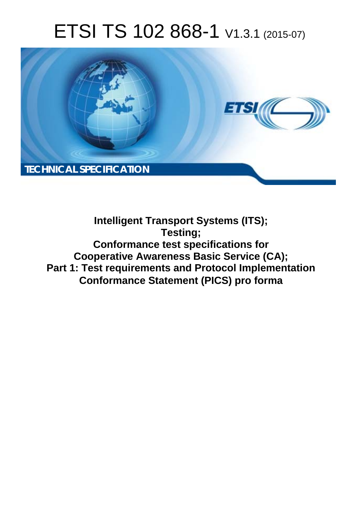# ETSI TS 102 868-1 V1.3.1 (2015-07)



**Intelligent Transport Systems (ITS); Testing; Conformance test specifications for Cooperative Awareness Basic Service (CA); Part 1: Test requirements and Protocol Implementation Conformance Statement (PICS) pro forma**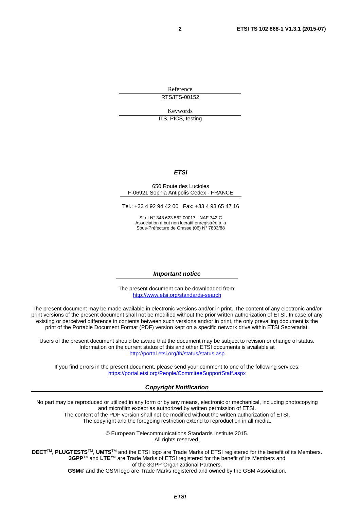Reference RTS/ITS-00152

Keywords

ITS, PICS, testing

#### *ETSI*

#### 650 Route des Lucioles F-06921 Sophia Antipolis Cedex - FRANCE

Tel.: +33 4 92 94 42 00 Fax: +33 4 93 65 47 16

Siret N° 348 623 562 00017 - NAF 742 C Association à but non lucratif enregistrée à la Sous-Préfecture de Grasse (06) N° 7803/88

#### *Important notice*

The present document can be downloaded from: <http://www.etsi.org/standards-search>

The present document may be made available in electronic versions and/or in print. The content of any electronic and/or print versions of the present document shall not be modified without the prior written authorization of ETSI. In case of any existing or perceived difference in contents between such versions and/or in print, the only prevailing document is the print of the Portable Document Format (PDF) version kept on a specific network drive within ETSI Secretariat.

Users of the present document should be aware that the document may be subject to revision or change of status. Information on the current status of this and other ETSI documents is available at <http://portal.etsi.org/tb/status/status.asp>

If you find errors in the present document, please send your comment to one of the following services: <https://portal.etsi.org/People/CommiteeSupportStaff.aspx>

#### *Copyright Notification*

No part may be reproduced or utilized in any form or by any means, electronic or mechanical, including photocopying and microfilm except as authorized by written permission of ETSI.

The content of the PDF version shall not be modified without the written authorization of ETSI. The copyright and the foregoing restriction extend to reproduction in all media.

> © European Telecommunications Standards Institute 2015. All rights reserved.

**DECT**TM, **PLUGTESTS**TM, **UMTS**TM and the ETSI logo are Trade Marks of ETSI registered for the benefit of its Members. **3GPP**TM and **LTE**™ are Trade Marks of ETSI registered for the benefit of its Members and of the 3GPP Organizational Partners.

**GSM**® and the GSM logo are Trade Marks registered and owned by the GSM Association.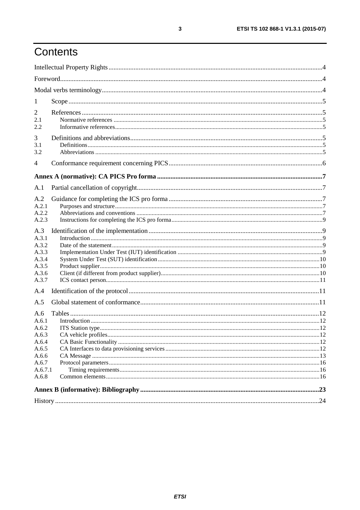# Contents

| 1                                                                  |  |
|--------------------------------------------------------------------|--|
| 2<br>2.1<br>2.2                                                    |  |
| 3<br>3.1<br>3.2                                                    |  |
| $\overline{4}$                                                     |  |
|                                                                    |  |
| A.1                                                                |  |
| A.2<br>A.2.1<br>A.2.2<br>A.2.3                                     |  |
| A.3<br>A.3.1<br>A.3.2<br>A.3.3<br>A.3.4<br>A.3.5<br>A.3.6<br>A.3.7 |  |
| A.4                                                                |  |
| A.5                                                                |  |
| A.6<br>A.6.1<br>A.6.2<br>A.6.3<br>A.6.4<br>A.6.5<br>A.6.6          |  |
| A.6.7<br>A.6.7.1                                                   |  |
| A.6.8                                                              |  |
|                                                                    |  |
|                                                                    |  |

 $\mathbf{3}$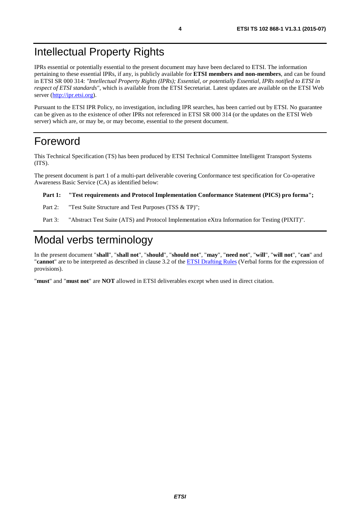# <span id="page-3-0"></span>Intellectual Property Rights

IPRs essential or potentially essential to the present document may have been declared to ETSI. The information pertaining to these essential IPRs, if any, is publicly available for **ETSI members and non-members**, and can be found in ETSI SR 000 314: *"Intellectual Property Rights (IPRs); Essential, or potentially Essential, IPRs notified to ETSI in respect of ETSI standards"*, which is available from the ETSI Secretariat. Latest updates are available on the ETSI Web server [\(http://ipr.etsi.org](http://webapp.etsi.org/IPR/home.asp)).

Pursuant to the ETSI IPR Policy, no investigation, including IPR searches, has been carried out by ETSI. No guarantee can be given as to the existence of other IPRs not referenced in ETSI SR 000 314 (or the updates on the ETSI Web server) which are, or may be, or may become, essential to the present document.

# Foreword

This Technical Specification (TS) has been produced by ETSI Technical Committee Intelligent Transport Systems (ITS).

The present document is part 1 of a multi-part deliverable covering Conformance test specification for Co-operative Awareness Basic Service (CA) as identified below:

#### **Part 1: "Test requirements and Protocol Implementation Conformance Statement (PICS) pro forma";**

Part 2: "Test Suite Structure and Test Purposes (TSS & TP)";

Part 3: "Abstract Test Suite (ATS) and Protocol Implementation eXtra Information for Testing (PIXIT)".

# Modal verbs terminology

In the present document "**shall**", "**shall not**", "**should**", "**should not**", "**may**", "**need not**", "**will**", "**will not**", "**can**" and "**cannot**" are to be interpreted as described in clause 3.2 of the [ETSI Drafting Rules](http://portal.etsi.org/Help/editHelp!/Howtostart/ETSIDraftingRules.aspx) (Verbal forms for the expression of provisions).

"**must**" and "**must not**" are **NOT** allowed in ETSI deliverables except when used in direct citation.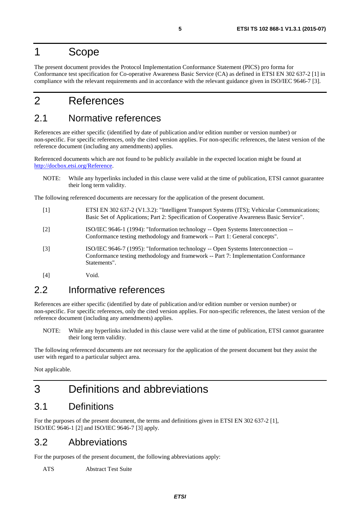# <span id="page-4-0"></span>1 Scope

The present document provides the Protocol Implementation Conformance Statement (PICS) pro forma for Conformance test specification for Co-operative Awareness Basic Service (CA) as defined in ETSI EN 302 637-2 [1] in compliance with the relevant requirements and in accordance with the relevant guidance given in ISO/IEC 9646-7 [3].

# 2 References

# 2.1 Normative references

References are either specific (identified by date of publication and/or edition number or version number) or non-specific. For specific references, only the cited version applies. For non-specific references, the latest version of the reference document (including any amendments) applies.

Referenced documents which are not found to be publicly available in the expected location might be found at <http://docbox.etsi.org/Reference>.

NOTE: While any hyperlinks included in this clause were valid at the time of publication, ETSI cannot guarantee their long term validity.

The following referenced documents are necessary for the application of the present document.

- [1] ETSI EN 302 637-2 (V1.3.2): "Intelligent Transport Systems (ITS); Vehicular Communications; Basic Set of Applications; Part 2: Specification of Cooperative Awareness Basic Service".
- [2] ISO/IEC 9646-1 (1994): "Information technology -- Open Systems Interconnection -- Conformance testing methodology and framework -- Part 1: General concepts".
- [3] ISO/IEC 9646-7 (1995): "Information technology -- Open Systems Interconnection -- Conformance testing methodology and framework -- Part 7: Implementation Conformance Statements".
- [4] Void.

# 2.2 Informative references

References are either specific (identified by date of publication and/or edition number or version number) or non-specific. For specific references, only the cited version applies. For non-specific references, the latest version of the reference document (including any amendments) applies.

NOTE: While any hyperlinks included in this clause were valid at the time of publication, ETSI cannot guarantee their long term validity.

The following referenced documents are not necessary for the application of the present document but they assist the user with regard to a particular subject area.

Not applicable.

# 3 Definitions and abbreviations

# 3.1 Definitions

For the purposes of the present document, the terms and definitions given in ETSI EN 302 637-2 [1], ISO/IEC 9646-1 [2] and ISO/IEC 9646-7 [3] apply.

### 3.2 Abbreviations

For the purposes of the present document, the following abbreviations apply:

ATS Abstract Test Suite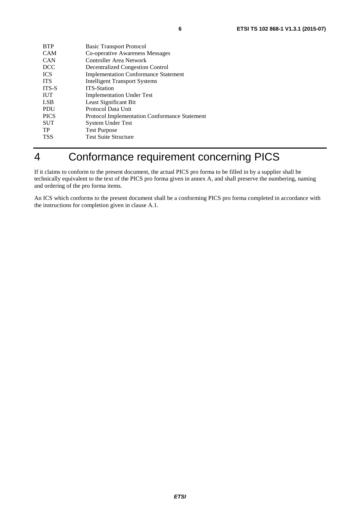<span id="page-5-0"></span>

| <b>BTP</b>   | <b>Basic Transport Protocol</b>                      |
|--------------|------------------------------------------------------|
| <b>CAM</b>   | Co-operative Awareness Messages                      |
| <b>CAN</b>   | Controller Area Network                              |
| <b>DCC</b>   | <b>Decentralized Congestion Control</b>              |
| <b>ICS</b>   | <b>Implementation Conformance Statement</b>          |
| <b>ITS</b>   | <b>Intelligent Transport Systems</b>                 |
| <b>ITS-S</b> | <b>ITS-Station</b>                                   |
| <b>IUT</b>   | <b>Implementation Under Test</b>                     |
| <b>LSB</b>   | Least Significant Bit                                |
| <b>PDU</b>   | Protocol Data Unit                                   |
| <b>PICS</b>  | <b>Protocol Implementation Conformance Statement</b> |
| <b>SUT</b>   | System Under Test                                    |
| TP           | <b>Test Purpose</b>                                  |
| <b>TSS</b>   | <b>Test Suite Structure</b>                          |
|              |                                                      |

# 4 Conformance requirement concerning PICS

If it claims to conform to the present document, the actual PICS pro forma to be filled in by a supplier shall be technically equivalent to the text of the PICS pro forma given in annex A, and shall preserve the numbering, naming and ordering of the pro forma items.

An ICS which conforms to the present document shall be a conforming PICS pro forma completed in accordance with the instructions for completion given in clause A.1.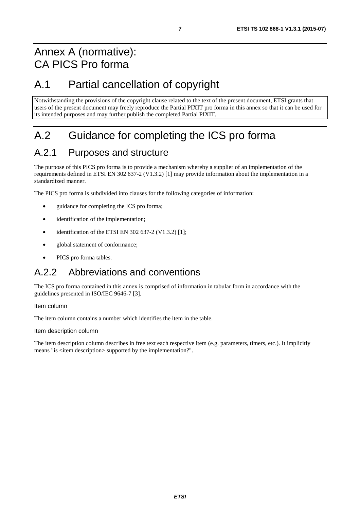# <span id="page-6-0"></span>Annex A (normative): CA PICS Pro forma

# A.1 Partial cancellation of copyright

Notwithstanding the provisions of the copyright clause related to the text of the present document, ETSI grants that users of the present document may freely reproduce the Partial PIXIT pro forma in this annex so that it can be used for its intended purposes and may further publish the completed Partial PIXIT.

# A.2 Guidance for completing the ICS pro forma

# A.2.1 Purposes and structure

The purpose of this PICS pro forma is to provide a mechanism whereby a supplier of an implementation of the requirements defined in ETSI EN 302 637-2 (V1.3.2) [\[1](#page-4-0)] may provide information about the implementation in a standardized manner.

The PICS pro forma is subdivided into clauses for the following categories of information:

- guidance for completing the ICS pro forma;
- identification of the implementation;
- identification of the ETSI EN 302 637-2 (V1.3.2) [\[1](#page-4-0)];
- global statement of conformance:
- PICS pro forma tables.

# A.2.2 Abbreviations and conventions

The ICS pro forma contained in this annex is comprised of information in tabular form in accordance with the guidelines presented in ISO/IEC 9646-7 [\[3\]](#page-4-0).

Item column

The item column contains a number which identifies the item in the table.

Item description column

The item description column describes in free text each respective item (e.g. parameters, timers, etc.). It implicitly means "is <item description> supported by the implementation?".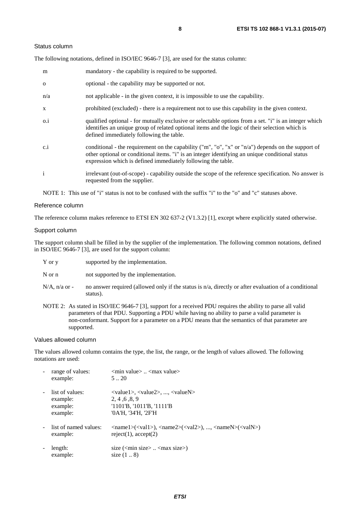#### Status column

The following notations, defined in ISO/IEC 9646-7 [\[3](#page-4-0)], are used for the status column:

| m            | mandatory - the capability is required to be supported.                                                                                                                                                                                                               |
|--------------|-----------------------------------------------------------------------------------------------------------------------------------------------------------------------------------------------------------------------------------------------------------------------|
| $\Omega$     | optional - the capability may be supported or not.                                                                                                                                                                                                                    |
| n/a          | not applicable - in the given context, it is impossible to use the capability.                                                                                                                                                                                        |
| X            | prohibited (excluded) - there is a requirement not to use this capability in the given context.                                                                                                                                                                       |
| $0.\dot{1}$  | qualified optional - for mutually exclusive or selectable options from a set. "i" is an integer which<br>identifies an unique group of related optional items and the logic of their selection which is<br>defined immediately following the table.                   |
| c.i          | conditional - the requirement on the capability ("m", "o", "x" or "n/a") depends on the support of<br>other optional or conditional items. "i" is an integer identifying an unique conditional status<br>expression which is defined immediately following the table. |
| $\mathbf{i}$ | irrelevant (out-of-scope) - capability outside the scope of the reference specification. No answer is<br>requested from the supplier.                                                                                                                                 |

NOTE 1: This use of "i" status is not to be confused with the suffix "i" to the "o" and "c" statuses above.

#### Reference column

The reference column makes reference to ETSI EN 302 637-2 (V1.3.2) [\[1](#page-4-0)], except where explicitly stated otherwise.

#### Support column

The support column shall be filled in by the supplier of the implementation. The following common notations, defined in ISO/IEC 9646-7 [\[3](#page-4-0)], are used for the support column:

- Y or y supported by the implementation.
- N or n not supported by the implementation.
- $N/A$ , n/a or no answer required (allowed only if the status is n/a, directly or after evaluation of a conditional status).
- NOTE 2: As stated in ISO/IEC 9646-7 [\[3](#page-4-0)], support for a received PDU requires the ability to parse all valid parameters of that PDU. Supporting a PDU while having no ability to parse a valid parameter is non-conformant. Support for a parameter on a PDU means that the semantics of that parameter are supported.

#### Values allowed column

The values allowed column contains the type, the list, the range, or the length of values allowed. The following notations are used:

| range of values:<br>example:                        | $\leq$ min value $\geq$ $\leq$ max value $\geq$<br>520                                                                                                                                                      |
|-----------------------------------------------------|-------------------------------------------------------------------------------------------------------------------------------------------------------------------------------------------------------------|
| list of values:<br>example:<br>example:<br>example: | $\langle \text{value1}\rangle, \langle \text{value2}\rangle, , \langle \text{valueN}\rangle$<br>2.4.6.8.9<br>$'1101'B$ , $'1011'B$ , $'1111'B$<br>'0A'H, '34'H, '2F'H                                       |
| list of named values:<br>example:                   | $\langle \text{name1}\rangle(\langle \text{val1}\rangle)$ , $\langle \text{name2}\rangle(\langle \text{val2}\rangle)$ , , $\langle \text{nameN}\rangle(\langle \text{valN}\rangle)$<br>reject(1), accept(2) |
| length:<br>example:                                 | size $(\text{cmin size})$ $\text{cmax size})$<br>size $(18)$                                                                                                                                                |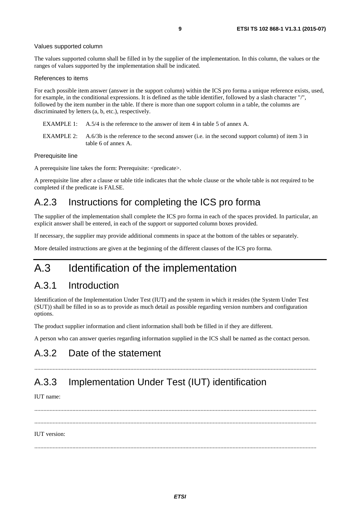#### <span id="page-8-0"></span>Values supported column

The values supported column shall be filled in by the supplier of the implementation. In this column, the values or the ranges of values supported by the implementation shall be indicated.

#### References to items

For each possible item answer (answer in the support column) within the ICS pro forma a unique reference exists, used, for example, in the conditional expressions. It is defined as the table identifier, followed by a slash character "/", followed by the item number in the table. If there is more than one support column in a table, the columns are discriminated by letters (a, b, etc.), respectively.

- EXAMPLE 1: A.5/4 is the reference to the answer of item 4 in table 5 of annex A.
- EXAMPLE 2: A.6/3b is the reference to the second answer (i.e. in the second support column) of item 3 in table 6 of annex A.

#### Prerequisite line

A prerequisite line takes the form: Prerequisite: <predicate>.

A prerequisite line after a clause or table title indicates that the whole clause or the whole table is not required to be completed if the predicate is FALSE.

# A.2.3 Instructions for completing the ICS pro forma

The supplier of the implementation shall complete the ICS pro forma in each of the spaces provided. In particular, an explicit answer shall be entered, in each of the support or supported column boxes provided.

If necessary, the supplier may provide additional comments in space at the bottom of the tables or separately.

More detailed instructions are given at the beginning of the different clauses of the ICS pro forma.

# A.3 Identification of the implementation

### A.3.1 Introduction

Identification of the Implementation Under Test (IUT) and the system in which it resides (the System Under Test (SUT)) shall be filled in so as to provide as much detail as possible regarding version numbers and configuration options.

The product supplier information and client information shall both be filled in if they are different.

A person who can answer queries regarding information supplied in the ICS shall be named as the contact person.

# A.3.2 Date of the statement

# A.3.3 Implementation Under Test (IUT) identification

IUT name:

 ......................................................................................................................................................................................... ......................................................................................................................................................................................... IUT version:

.........................................................................................................................................................................................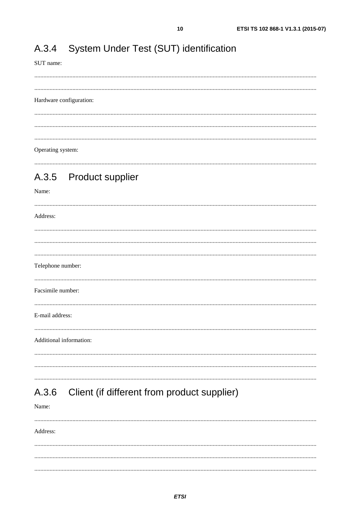#### <span id="page-9-0"></span>System Under Test (SUT) identification A.3.4

SUT name:

 $10$ 

#### Hardware configuration:

 $\frac{1}{2}$  . The contract of the contract of the contract of the contract of the contract of the contract of the contract of the contract of the contract of the contract of the contract of the contract of the contract of t Operating system:

### 

#### A.3.5 **Product supplier**

#### Name:

Address: Telephone number: Facsimile number: E-mail address: Additional information: 

#### Client (if different from product supplier) A.3.6

Name:

Address: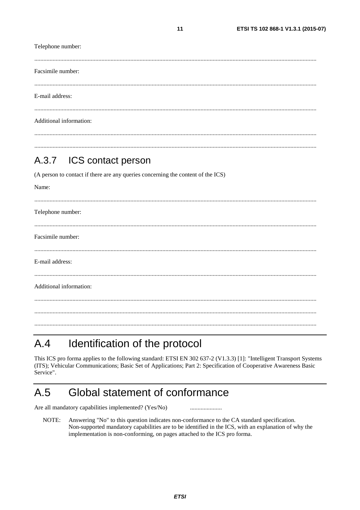<span id="page-10-0"></span>Telephone number: Facsimile number: E-mail address: Additional information:

#### ICS contact person  $A.3.7$

(A person to contact if there are any queries concerning the content of the ICS)

| Name:                   |
|-------------------------|
|                         |
| Telephone number:       |
|                         |
| Facsimile number:       |
|                         |
| E-mail address:         |
|                         |
| Additional information: |
|                         |
|                         |
|                         |

#### Identification of the protocol  $A.4$

This ICS pro forma applies to the following standard: ETSI EN 302 637-2 (V1.3.3) [1]: "Intelligent Transport Systems (ITS); Vehicular Communications; Basic Set of Applications; Part 2: Specification of Cooperative Awareness Basic Service".

#### $A.5$ Global statement of conformance

Are all mandatory capabilities implemented? (Yes/No)

NOTE: Answering "No" to this question indicates non-conformance to the CA standard specification. Non-supported mandatory capabilities are to be identified in the ICS, with an explanation of why the implementation is non-conforming, on pages attached to the ICS pro forma.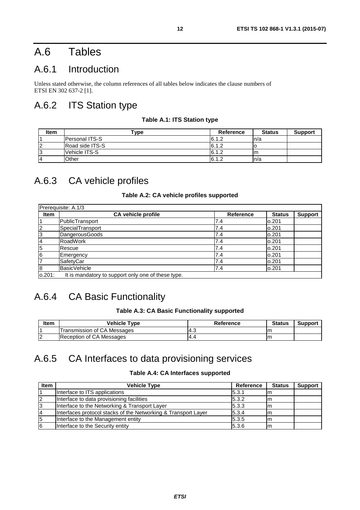# <span id="page-11-0"></span>A.6 Tables

# A.6.1 Introduction

Unless stated otherwise, the column references of all tables below indicates the clause numbers of ETSI EN 302 637-2 [\[1](#page-4-0)].

# A.6.2 ITS Station type

#### **Table A.1: ITS Station type**

| Item           | $\mathsf{vpe}$        | Reference | <b>Status</b> | <b>Support</b> |
|----------------|-----------------------|-----------|---------------|----------------|
|                | <b>Personal ITS-S</b> | 6.1.2     | n/a           |                |
|                | Road side ITS-S       | 6.1.2     |               |                |
|                | lVehicle ITS-S        | 6.1.2     | Im            |                |
| $\overline{A}$ | Other                 | 6.1.2     | n/a           |                |

# A.6.3 CA vehicle profiles

### **Table A.2: CA vehicle profiles supported**

| <b>Item</b> | <b>CA vehicle profile</b> | Reference | <b>Status</b> | <b>Support</b> |
|-------------|---------------------------|-----------|---------------|----------------|
|             | PublicTransport           | 7.4       | 0.201         |                |
| 12          | SpecialTransport          | 7.4       | 0.201         |                |
| 3           | DangerousGoods            | 7.4       | 0.201         |                |
| 4           | <b>RoadWork</b>           | 7.4       | 0.201         |                |
| 5           | <b>Rescue</b>             | 7.4       | 0.201         |                |
| 6           | <b>Emergency</b>          | 7.4       | 0.201         |                |
| 17          | SafetyCar                 | 7.4       | 0.201         |                |
| 8           | BasicVehicle              | 7.4       | 0.201         |                |

It is mandatory to support only one of these type.

# A.6.4 CA Basic Functionality

#### **Table A.3: CA Basic Functionality supported**

| <b>Item</b> | <b>Vehicle Type</b>             | Reference | <b>Status</b> | Support |
|-------------|---------------------------------|-----------|---------------|---------|
|             | Transmission of CA Messages     |           | ım            |         |
| .           | <b>Reception of CA Messages</b> | $-4.4$    | Im            |         |

# A.6.5 CA Interfaces to data provisioning services

### **Table A.4: CA Interfaces supported**

| <b>Item</b> | <b>Vehicle Type</b>                                            | Reference | <b>Status</b> | <b>Support</b> |
|-------------|----------------------------------------------------------------|-----------|---------------|----------------|
|             | Interface to ITS applications                                  | 5.3.1     | m             |                |
| 12          | Interface to data provisioning facilities                      | 5.3.2     |               |                |
| l3          | Interface to the Networking & Transport Layer                  | 5.3.3     | ım            |                |
| 14          | Interfaces protocol stacks of the Networking & Transport Layer | 5.3.4     |               |                |
| 5           | Interface to the Management entity                             | 5.3.5     |               |                |
| 6           | Interface to the Security entity                               | 5.3.6     | 11 I I        |                |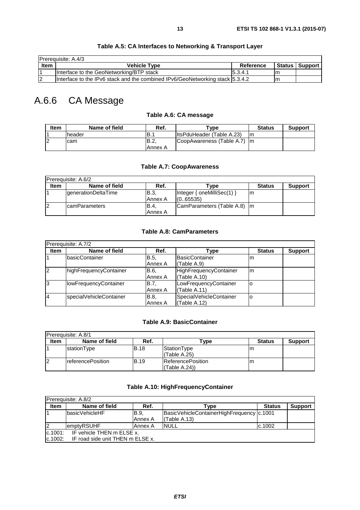<span id="page-12-0"></span>

|                   | <b>Prerequisite: A.4/3</b>                                                      |           |                  |
|-------------------|---------------------------------------------------------------------------------|-----------|------------------|
| Item              | <b>Vehicle Type</b>                                                             | Reference | Status   Support |
|                   | Interface to the GeoNetworking/BTP stack                                        | 15.3.4.1  |                  |
| - ר<br>$\epsilon$ | Interface to the IPv6 stack and the combined IPv6/GeoNetworking stack [5.3.4.2] |           |                  |

### **Table A.5: CA Interfaces to Networking & Transport Layer**

# A.6.6 CA Message

### **Table A.6: CA message**

| Item | Name of field | Ref.        | Tvpe -                       | <b>Status</b> | <b>Support</b> |
|------|---------------|-------------|------------------------------|---------------|----------------|
|      | header        | 'B∴         | ItsPduHeader (Table A.23)    | ım            |                |
| 2    | Icam          | <b>B.2.</b> | CoopAwareness (Table A.7) Im |               |                |
|      |               | Annex A     |                              |               |                |

#### **Table A.7: CoopAwareness**

| Prerequisite: A.6/2 |                            |                         |                                           |               |                |  |
|---------------------|----------------------------|-------------------------|-------------------------------------------|---------------|----------------|--|
| <b>Item</b>         | Name of field              | Ref.                    | rvpe)                                     | <b>Status</b> | <b>Support</b> |  |
|                     | <b>generationDeltaTime</b> | <b>B.3.</b><br>IAnnex A | Integer { $oneMilliSec(1)$ }<br>(0.65535) | ım            |                |  |
| 12                  | <b>IcamParameters</b>      | <b>B.4.</b><br>Annex A  | CamParameters (Table A.8)   m             |               |                |  |

### **Table A.8: CamParameters**

|             | Prerequisite: A.7/2          |             |                               |               |                |  |  |  |  |
|-------------|------------------------------|-------------|-------------------------------|---------------|----------------|--|--|--|--|
| <b>Item</b> | Name of field                | Ref.        | Гvре                          | <b>Status</b> | <b>Support</b> |  |  |  |  |
|             | basicContainer               | B.5.        | BasicContainer                | m             |                |  |  |  |  |
|             |                              | Annex A     | (Table A.9)                   |               |                |  |  |  |  |
| 2           | highFrequencyContainer       | B.6.        | <b>HighFrequencyContainer</b> | m             |                |  |  |  |  |
|             |                              | Annex A     | (Table A.10)                  |               |                |  |  |  |  |
| l3          | <b>IowFrequencyContainer</b> | <b>B.7.</b> | LowFrequencyContainer         |               |                |  |  |  |  |
|             |                              | Annex A     | (Table A.11)                  |               |                |  |  |  |  |
| 14          | specialVehicleContainer      | <b>B.8.</b> | SpecialVehicleContainer       | ۰o            |                |  |  |  |  |
|             |                              | Annex A     | (Table A.12)                  |               |                |  |  |  |  |

### **Table A.9: BasicContainer**

|             | <b>Prerequisite: A.8/1</b> |             |                                          |               |                |  |  |  |
|-------------|----------------------------|-------------|------------------------------------------|---------------|----------------|--|--|--|
| <b>Item</b> | Name of field              | Ref.        | ™уре                                     | <b>Status</b> | <b>Support</b> |  |  |  |
|             | stationType                | <b>B.18</b> | StationType<br>I(Table A.25)             | m             |                |  |  |  |
| 12          | <b>IreferencePosition</b>  | <b>B.19</b> | <b>ReferencePosition</b><br>(Table A.24) | m             |                |  |  |  |

### **Table A.10: HighFrequencyContainer**

| Prerequisite: A.8/2                  |                                  |                  |                                                              |               |                |  |  |  |
|--------------------------------------|----------------------------------|------------------|--------------------------------------------------------------|---------------|----------------|--|--|--|
| <b>Item</b>                          | Name of field                    | Ref.             | Type                                                         | <b>Status</b> | <b>Support</b> |  |  |  |
|                                      | <b>IbasicVehicleHF</b>           | IB.9.<br>Annex A | BasicVehicleContainerHighFrequency   c.1001<br>I(Table A.13) |               |                |  |  |  |
| 12                                   | emptyRSUHF                       | Annex A          | <b>INULL</b>                                                 | c.1002        |                |  |  |  |
| IF vehicle THEN m ELSE x.<br>c.1001: |                                  |                  |                                                              |               |                |  |  |  |
| c.1002:                              | IF road side unit THEN m ELSE x. |                  |                                                              |               |                |  |  |  |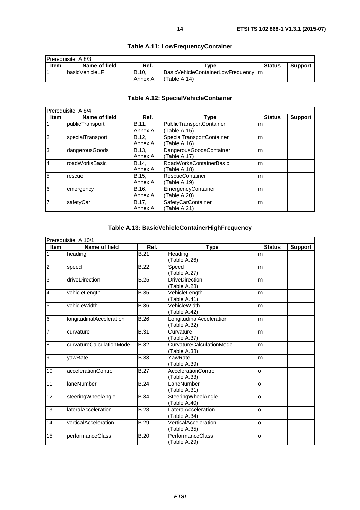<span id="page-13-0"></span>

| <b>IPrerequisite: A.8/3</b> |                       |              |                                      |               |                |  |  |
|-----------------------------|-----------------------|--------------|--------------------------------------|---------------|----------------|--|--|
| Item                        | Name of field         | Ref.         | $T$ vpe                              | <b>Status</b> | <b>Support</b> |  |  |
|                             | <b>basicVehicleLF</b> | <b>B.10.</b> | BasicVehicleContainerLowFrequency Im |               |                |  |  |
|                             |                       | Annex A      | l(Table A.14)                        |               |                |  |  |

### **Table A.11: LowFrequencyContainer**

# **Table A.12: SpecialVehicleContainer**

|                | Prerequisite: A.8/4 |              |                                |               |                |  |  |  |
|----------------|---------------------|--------------|--------------------------------|---------------|----------------|--|--|--|
| Item           | Name of field       | Ref.         | Type                           | <b>Status</b> | <b>Support</b> |  |  |  |
| l1             | publicTransport     | B.11,        | PublicTransportContainer       | m             |                |  |  |  |
|                |                     | Annex A      | (Table A.15)                   |               |                |  |  |  |
| $\overline{2}$ | specialTransport    | B.12.        | SpecialTransportContainer      | m             |                |  |  |  |
|                |                     | Annex A      | (Table A.16)                   |               |                |  |  |  |
| 3              | dangerousGoods      | <b>B.13.</b> | DangerousGoodsContainer        | m             |                |  |  |  |
|                |                     | Annex A      | (Table A.17)                   |               |                |  |  |  |
| 4              | roadWorksBasic      | B.14.        | <b>RoadWorksContainerBasic</b> | m             |                |  |  |  |
|                |                     | Annex A      | (Table A.18)                   |               |                |  |  |  |
| 5              | rescue              | B.15.        | <b>RescueContainer</b>         | m             |                |  |  |  |
|                |                     | Annex A      | (Table A.19)                   |               |                |  |  |  |
| $\overline{6}$ | emergency           | B.16.        | EmergencyContainer             | m             |                |  |  |  |
|                |                     | Annex A      | (Table A.20)                   |               |                |  |  |  |
| 7              | safetyCar           | B.17,        | SafetyCarContainer             | m             |                |  |  |  |
|                |                     | Annex A      | (Table A.21)                   |               |                |  |  |  |

### **Table A.13: BasicVehicleContainerHighFrequency**

|                  | Prerequisite: A.10/1            |                   |                                                 |               |                |  |  |
|------------------|---------------------------------|-------------------|-------------------------------------------------|---------------|----------------|--|--|
| <b>Item</b>      | Name of field                   | Ref.              | <b>Type</b>                                     | <b>Status</b> | <b>Support</b> |  |  |
| $\mathbf 1$      | heading                         | $\overline{B.21}$ | Heading<br>(Table A.26)                         | m             |                |  |  |
| $\overline{2}$   | speed                           | <b>B.22</b>       | Speed<br>(Table A.27)                           | m             |                |  |  |
| 3                | driveDirection                  | <b>B.25</b>       | <b>DriveDirection</b><br>(Table A.28)           | m             |                |  |  |
| $\overline{4}$   | vehicleLength                   | <b>B.35</b>       | VehicleLength<br>(Table A.41)                   | m             |                |  |  |
| $5\overline{5}$  | vehicleWidth                    | <b>B.36</b>       | VehicleWidth<br>(Table A.42)                    | m             |                |  |  |
| $6\phantom{.}6$  | <b>longitudinalAcceleration</b> | <b>B.26</b>       | LongitudinalAcceleration<br>(Table A.32)        | m             |                |  |  |
| 7                | curvature                       | <b>B.31</b>       | Curvature<br>(Table A.37)                       | m             |                |  |  |
| $\boldsymbol{8}$ | curvatureCalculationMode        | <b>B.32</b>       | <b>CurvatureCalculationMode</b><br>(Table A.38) | m             |                |  |  |
| 9                | yawRate                         | <b>B.33</b>       | YawRate<br>(Table A.39)                         | m             |                |  |  |
| 10               | accelerationControl             | <b>B.27</b>       | <b>AccelerationControl</b><br>(Table A.33)      | $\Omega$      |                |  |  |
| 11               | laneNumber                      | <b>B.24</b>       | LaneNumber<br>(Table A.31)                      | $\Omega$      |                |  |  |
| 12               | steeringWheelAngle              | <b>B.34</b>       | SteeringWheelAngle<br>(Table A.40)              | $\Omega$      |                |  |  |
| 13               | <b>lateralAcceleration</b>      | <b>B.28</b>       | LateralAcceleration<br>(Table A.34)             | $\Omega$      |                |  |  |
| 14               | verticalAcceleration            | <b>B.29</b>       | VerticalAcceleration<br>(Table A.35)            | o             |                |  |  |
| 15               | performanceClass                | <b>B.20</b>       | PerformanceClass<br>(Table A.29)                | o             |                |  |  |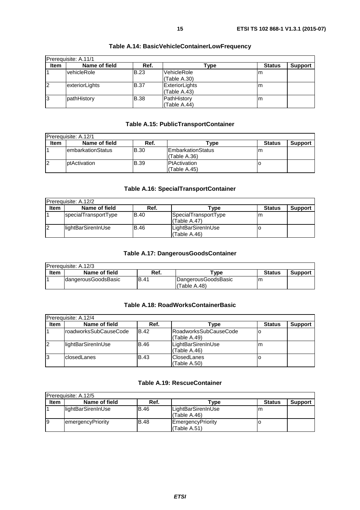<span id="page-14-0"></span>

|                | Prerequisite: A.11/1 |             |                                |               |                |  |  |  |
|----------------|----------------------|-------------|--------------------------------|---------------|----------------|--|--|--|
| <b>Item</b>    | Name of field        | Ref.        | Гуре                           | <b>Status</b> | <b>Support</b> |  |  |  |
|                | <u>lvehicleRole</u>  | <b>B.23</b> | VehicleRole<br>(Table A.30)    | Im            |                |  |  |  |
| $\overline{2}$ | exteriorLights       | <b>B.37</b> | ExteriorLights<br>(Table A.43) | ım            |                |  |  |  |
| 13             | pathHistory          | <b>B.38</b> | PathHistory<br>(Table A.44)    | ım            |                |  |  |  |

### **Table A.14: BasicVehicleContainerLowFrequency**

### **Table A.15: PublicTransportContainer**

| Prerequisite: A.12/1 |                           |             |                                    |               |                |  |  |
|----------------------|---------------------------|-------------|------------------------------------|---------------|----------------|--|--|
| <b>Item</b>          | Name of field             | Ref.        | ⊺vpe                               | <b>Status</b> | <b>Support</b> |  |  |
|                      | <b>lembarkationStatus</b> | IB.30       | IEmbarkationStatus<br>(Table A.36) | m             |                |  |  |
| 2                    | ptActivation              | <b>B.39</b> | PtActivation<br>(Table A.45)       |               |                |  |  |

#### **Table A.16: SpecialTransportContainer**

| Prerequisite: A.12/2 |                      |             |                                      |               |                |  |  |
|----------------------|----------------------|-------------|--------------------------------------|---------------|----------------|--|--|
| <b>Item</b>          | Name of field        | Ref.        | Type                                 | <b>Status</b> | <b>Support</b> |  |  |
|                      | specialTransportType | IB.40       | SpecialTransportType<br>(Table A.47) | m             |                |  |  |
| $\overline{2}$       | lightBarSirenInUse   | <b>B.46</b> | LightBarSirenInUse<br>(Table A.46)   |               |                |  |  |

### **Table A.17: DangerousGoodsContainer**

| <b>IPrerequisite: A.12/3</b> |                      |             |                                     |               |                |  |  |  |
|------------------------------|----------------------|-------------|-------------------------------------|---------------|----------------|--|--|--|
| Item                         | Name of field        | Ref.        | ™vpe                                | <b>Status</b> | <b>Support</b> |  |  |  |
|                              | IdangerousGoodsBasic | <b>B.41</b> | DangerousGoodsBasic<br>(Table A.48) | m             |                |  |  |  |

### **Table A.18: RoadWorksContainerBasic**

|             | <b>IPrerequisite: A.12/4</b> |             |                                              |               |                |  |  |  |
|-------------|------------------------------|-------------|----------------------------------------------|---------------|----------------|--|--|--|
| <b>Item</b> | Name of field                | Ref.        | Type                                         | <b>Status</b> | <b>Support</b> |  |  |  |
|             | IroadworksSubCauseCode       | <b>B.42</b> | <b>RoadworksSubCauseCode</b><br>(Table A.49) | O             |                |  |  |  |
| 12          | lightBarSirenInUse           | IB.46       | LightBarSirenInUse<br>(Table A.46)           | m             |                |  |  |  |
| 13          | <b>closedLanes</b>           | <b>B.43</b> | <b>ClosedLanes</b><br>Table A.50)            |               |                |  |  |  |

### **Table A.19: RescueContainer**

| IPrereguisite: A.12/5 |                     |       |                                    |               |                |  |  |
|-----------------------|---------------------|-------|------------------------------------|---------------|----------------|--|--|
| <b>Item</b>           | Name of field       | Ref.  | $\mathsf{v}$ pe                    | <b>Status</b> | <b>Support</b> |  |  |
|                       | llightBarSirenInUse | B.46  | LightBarSirenInUse<br>(Table A.46) | m             |                |  |  |
| 19                    | emergencyPriority   | IB.48 | EmergencyPriority<br>(Table A.51)  |               |                |  |  |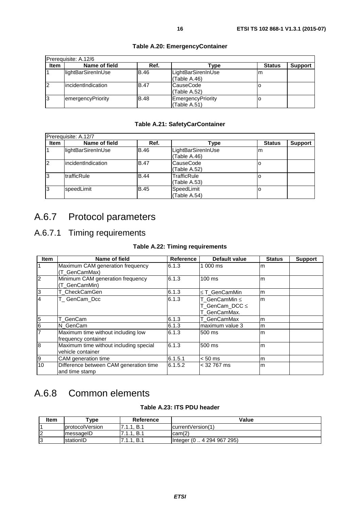<span id="page-15-0"></span>

|                | Prerequisite: A.12/6 |             |                                    |               |                |
|----------------|----------------------|-------------|------------------------------------|---------------|----------------|
| <b>Item</b>    | Name of field        | Ref.        | Type                               | <b>Status</b> | <b>Support</b> |
|                | lightBarSirenInUse   | <b>B.46</b> | LightBarSirenInUse<br>(Table A.46) | m             |                |
| $\overline{2}$ | lincidentIndication  | <b>B.47</b> | CauseCode<br>(Table A.52)          |               |                |
| l3             | emergencyPriority    | <b>B.48</b> | EmergencyPriority<br>(Table A.51)  | O             |                |

### **Table A.20: EmergencyContainer**

### **Table A.21: SafetyCarContainer**

|             | Prerequisite: A.12/7 |             |                                    |               |                |
|-------------|----------------------|-------------|------------------------------------|---------------|----------------|
| <b>Item</b> | Name of field        | Ref.        | Type                               | <b>Status</b> | <b>Support</b> |
|             | lightBarSirenInUse   | <b>B.46</b> | LightBarSirenInUse<br>(Table A.46) | m             |                |
| 12          | lincidentIndication  | <b>B.47</b> | CauseCode<br>(Table A.52)          |               |                |
| 13          | <b>ItrafficRule</b>  | <b>B.44</b> | TrafficRule<br>(Table A.53)        |               |                |
| 13          | speedLimit           | <b>B.45</b> | SpeedLimit<br>(Table A.54)         |               |                |

# A.6.7 Protocol parameters

# A.6.7.1 Timing requirements

#### **Table A.22: Timing requirements**

| <b>Item</b>     | Name of field                                               | <b>Reference</b> | <b>Default value</b>                            | <b>Status</b> | <b>Support</b> |
|-----------------|-------------------------------------------------------------|------------------|-------------------------------------------------|---------------|----------------|
| $\overline{1}$  | Maximum CAM generation frequency<br>(T_GenCamMax)           | 6.1.3            | 1 000 ms                                        | m             |                |
| $\overline{2}$  | Minimum CAM generation frequency<br>(T_GenCamMin)           | 6.1.3            | 100 ms                                          | m             |                |
| $\overline{3}$  | T_CheckCamGen                                               | 6.1.3            | $\leq$ T GenCamMin                              | m             |                |
| 4               | T_GenCam_Dcc                                                | 6.1.3            | T_GenCamMin ≤<br>T_GenCam_DCC ≤<br>T_GenCamMax. | m             |                |
| $\overline{5}$  | T GenCam                                                    | 6.1.3            | T_GenCamMax                                     | m             |                |
| $6\overline{6}$ | N GenCam                                                    | 6.1.3            | maximum value 3                                 | m             |                |
| $\overline{7}$  | Maximum time without including low<br>frequency container   | 6.1.3            | 500 ms                                          | m             |                |
| 8               | Maximum time without including special<br>vehicle container | 6.1.3            | 500 ms                                          | m             |                |
| 9               | CAM generation time                                         | 6.1.5.1          | $< 50$ ms                                       | m             |                |
| 10              | Difference between CAM generation time<br>and time stamp    | 6.1.5.2          | $<$ 32 767 ms                                   | m             |                |

# A.6.8 Common elements

### **Table A.23: ITS PDU header**

| <b>Item</b> | vpe"                   | Reference                   | Value                                |
|-------------|------------------------|-----------------------------|--------------------------------------|
|             | <b>protocolVersion</b> | B.1<br>-4                   | currentVersion(1)                    |
| 2           | ImessageID             | B.1<br>71<br>-4             | cam(2)                               |
| 3           | <b>IstationID</b>      | B.1<br>71<br>$\overline{A}$ | 4 294 967 295)<br>Integer $(0 \dots$ |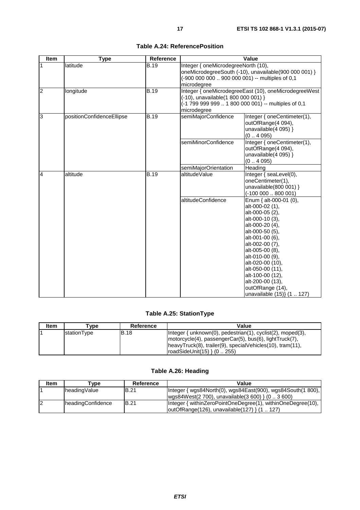<span id="page-16-0"></span>

| Item           | <b>Type</b>               | Reference   |                                                     | Value                                                 |
|----------------|---------------------------|-------------|-----------------------------------------------------|-------------------------------------------------------|
| $\mathbf{1}$   | latitude                  | <b>B.19</b> | Integer { oneMicrodegreeNorth (10),                 |                                                       |
|                |                           |             |                                                     | oneMicrodegreeSouth (-10), unavailable(900 000 001) } |
|                |                           |             | (-900 000 000  900 000 001) -- multiples of 0,1     |                                                       |
|                |                           |             | microdegree                                         |                                                       |
| $\overline{2}$ | longitude                 | B.19        |                                                     | Integer { oneMicrodegreeEast (10), oneMicrodegreeWest |
|                |                           |             | (-10), unavailable(1 800 000 001) }                 |                                                       |
|                |                           |             | (-1 799 999 999  1 800 000 001) -- multiples of 0,1 |                                                       |
|                |                           |             | microdegree                                         |                                                       |
| $\overline{3}$ | positionConfidenceEllipse | <b>B.19</b> | semiMajorConfidence                                 | Integer { oneCentimeter(1),                           |
|                |                           |             |                                                     | outOfRange(4 094),                                    |
|                |                           |             |                                                     | unavailable $(4 095)$ }                               |
|                |                           |             |                                                     | (04095)                                               |
|                |                           |             | semiMinorConfidence                                 | Integer { oneCentimeter(1),                           |
|                |                           |             |                                                     | outOfRange(4 094),                                    |
|                |                           |             |                                                     | unavailable $(4 095)$ }                               |
|                |                           |             |                                                     | (04095)                                               |
|                |                           |             | semiMajorOrientation                                | Heading                                               |
| $\overline{4}$ | altitude                  | <b>B.19</b> | altitudeValue                                       | Integer { seaLevel(0),                                |
|                |                           |             |                                                     | oneCentimeter(1),                                     |
|                |                           |             |                                                     | unavailable(800 001) }                                |
|                |                           |             | altitudeConfidence                                  | $(-10000080001)$<br>Enum { alt-000-01 (0),            |
|                |                           |             |                                                     | alt-000-02 (1),                                       |
|                |                           |             |                                                     | alt-000-05 (2),                                       |
|                |                           |             |                                                     | alt-000-10 (3),                                       |
|                |                           |             |                                                     | alt-000-20 (4),                                       |
|                |                           |             |                                                     | alt-000-50 (5),                                       |
|                |                           |             |                                                     | alt-001-00 (6),                                       |
|                |                           |             |                                                     | alt-002-00 (7),                                       |
|                |                           |             |                                                     | alt-005-00 (8),                                       |
|                |                           |             |                                                     | alt-010-00 (9),                                       |
|                |                           |             |                                                     | alt-020-00 (10),                                      |
|                |                           |             |                                                     | alt-050-00 (11),                                      |
|                |                           |             |                                                     | alt-100-00 (12),                                      |
|                |                           |             |                                                     | alt-200-00 (13),                                      |
|                |                           |             |                                                     | outOfRange (14),                                      |
|                |                           |             |                                                     | unavailable (15)} (1  127)                            |

**Table A.24: ReferencePosition** 

### **Table A.25: StationType**

| Item | ⊺vpe        | Reference | Value                                                                                                                                                                                                                |
|------|-------------|-----------|----------------------------------------------------------------------------------------------------------------------------------------------------------------------------------------------------------------------|
|      | stationType | IB.18     | Integer { unknown(0), pedestrian(1), cyclist(2), moped(3),<br>motorcycle(4), passengerCar(5), bus(6), lightTruck(7),<br> heavyTruck(8), trailer(9), specialVehicles(10), tram(11),<br>$\{roadSideUnit(15)\}$ (0 255) |

### **Table A.26: Heading**

| ltem | [vpe              | Reference   | Value                                                                                                                        |
|------|-------------------|-------------|------------------------------------------------------------------------------------------------------------------------------|
|      | headingValue      | IB.21       | Integer { wgs84North(0), wgs84East(900), wgs84South(1 800),  <br>$\wedge$ wgs84West(2 700), unavailable(3 600) } (0 . 3 600) |
| 12   | headingConfidence | <b>B.21</b> | Integer { withinZeroPointOneDegree(1), withinOneDegree(10),<br>outOfRange(126), unavailable(127) } (1  127)                  |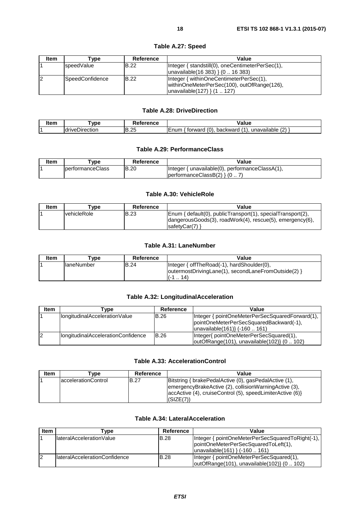<span id="page-17-0"></span>

| Item           | Type            | Reference    | Value                                                                                                                     |
|----------------|-----------------|--------------|---------------------------------------------------------------------------------------------------------------------------|
|                | speedValue      | <b>B.22</b>  | Integer { standstill(0), oneCentimeterPerSec(1),<br>$ unavailable(16 383) \} (0 16 383)$                                  |
| $\overline{2}$ | SpeedConfidence | <b>IB.22</b> | Integer { withinOneCentimeterPerSec(1),<br>withinOneMeterPerSec(100), outOfRange(126),<br>$ unavailable(127) \}$ (1. 127) |

### **Table A.27: Speed**

#### **Table A.28: DriveDirection**

| ---- | vno                 | -<br>--------     | /alue                                                                                                               |
|------|---------------------|-------------------|---------------------------------------------------------------------------------------------------------------------|
|      | drivel<br>⊃ırectıor | つら<br>B<br>ں ے. ب | -<br>$\sqrt{2}$<br>10<br>7 A 1<br>backward<br>prward<br>$\sim \cdot \cdot \cdot$<br>unavailable<br>╘<br>.<br>$\sim$ |

#### **Table A.29: PerformanceClass**

| Item | vpe                      | Reference | Value                                                      |
|------|--------------------------|-----------|------------------------------------------------------------|
|      | <b>IperformanceClass</b> | IB.20     | { unavailable(0), performanceClassA(1),<br><b>I</b> nteger |
|      |                          |           | $ performanceClassB(2) \rangle$ (0                         |

#### **Table A.30: VehicleRole**

| ltem | "vpe                | Reference   | Value                                                                                                                                     |
|------|---------------------|-------------|-------------------------------------------------------------------------------------------------------------------------------------------|
|      | <b>IvehicleRole</b> | <b>B.23</b> | Enum { default(0), publicTransport(1), specialTransport(2),<br>dangerous Goods(3), road Work(4), rescue(5), emergency(6),<br>safetyCar(7) |

#### **Table A.31: LaneNumber**

| <b>Item</b> | Type               | Reference   | Value                                               |
|-------------|--------------------|-------------|-----------------------------------------------------|
|             | <b>IlaneNumber</b> | <b>B.24</b> | Integer { offTheRoad(-1), hardShoulder(0),          |
|             |                    |             | outermostDrivingLane(1), secondLaneFromOutside(2) } |
|             |                    |             | $\ldots$ 14 <sup><math>\lambda</math></sup>         |

### **Table A.32: LongitudinalAcceleration**

| <b>Item</b> | vpe'                               | Reference   | Value                                                                                  |
|-------------|------------------------------------|-------------|----------------------------------------------------------------------------------------|
|             | longitudinalAccelerationValue      | <b>B.26</b> | Integer { pointOneMeterPerSecSquaredForward(1),                                        |
|             |                                    |             | pointOneMeterPerSecSquaredBackward(-1),<br>unavailable(161) {-160  161)                |
|             | IongitudinalAccelerationConfidence | <b>B.26</b> | Integer{ pointOneMeterPerSecSquared(1),<br>outOfRange(101), unavailable(102)} (0  102) |

#### **Table A.33: AccelerationControl**

| <b>Item</b> | Tvpe                 | Reference   | Value                                                                                                                                                                                     |
|-------------|----------------------|-------------|-------------------------------------------------------------------------------------------------------------------------------------------------------------------------------------------|
|             | laccelerationControl | <b>B.27</b> | Bitstring { brakePedalActive (0), gasPedalActive (1),<br>emergencyBrakeActive (2), collisionWarningActive (3),<br>[accActive (4), cruiseControl (5), speedLimiterActive (6)]<br>(SIZE(7)) |

### **Table A.34: LateralAcceleration**

| <b>Item</b> | Type                           | Reference   | Value                                                                                                                          |
|-------------|--------------------------------|-------------|--------------------------------------------------------------------------------------------------------------------------------|
|             | llateralAccelerationValue      | IB.28       | Integer { pointOneMeterPerSecSquaredToRight(-1),<br>pointOneMeterPerSecSquaredToLeft(1),<br>$ unavailable(161) \}$ (-160  161) |
| 12          | IlateralAccelerationConfidence | <b>B.28</b> | Integer { pointOneMeterPerSecSquared(1),<br>$ outOfRange(101), unavailable(102)\}$ (0102)                                      |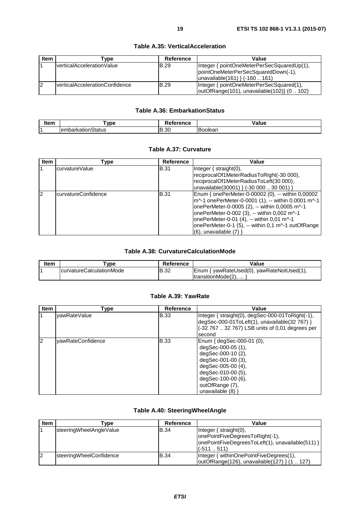<span id="page-18-0"></span>

| <b>Item</b>    | ⊺vpe                                   | Reference   | Value                                                                                                               |
|----------------|----------------------------------------|-------------|---------------------------------------------------------------------------------------------------------------------|
|                | verticalAccelerationValue              | <b>B.29</b> | Integer { pointOneMeterPerSecSquaredUp(1),<br>pointOneMeterPerSecSquaredDown(-1),<br>unavailable(161) } (-160  161) |
| $\overline{2}$ | <b>IverticalAccelerationConfidence</b> | <b>B.29</b> | Integer { pointOneMeterPerSecSquared(1),<br>outOfRange(101), unavailable(102)} (0  102)                             |

#### **Table A.35: VerticalAcceleration**

### **Table A.36: EmbarkationStatus**

| . | VD <sub>6</sub>                             | $-$<br>י כוועל     | alue                       |
|---|---------------------------------------------|--------------------|----------------------------|
|   | $\sim$<br>----<br>ิรtatus<br>чканов.<br>emu | oc<br>Ð<br>-<br>JU | -<br>nie.<br>ו ורז<br>-sar |

#### **Table A.37: Curvature**

| <b>Item</b> | Type                 | Reference   | Value                                              |
|-------------|----------------------|-------------|----------------------------------------------------|
|             | lcurvatureValue      | <b>B.31</b> | $ $ Integer $\{$ straight $(0),$                   |
|             |                      |             | reciprocalOf1MeterRadiusToRight(-30 000),          |
|             |                      |             | reciprocalOf1MeterRadiusToLeft(30 000),            |
|             |                      |             | unavailable(30001) } (-30 000  30 001) }           |
| 12          | lcurvatureConfidence | <b>B.31</b> | Enum { onePerMeter-0-00002 (0), -- within 0,00002  |
|             |                      |             | m^-1 onePerMeter-0-0001 (1), -- within 0,0001 m^-1 |
|             |                      |             | onePerMeter-0-0005 (2), -- within 0,0005 m^-1      |
|             |                      |             | onePerMeter-0-002 (3), -- within 0,002 m^-1        |
|             |                      |             | onePerMeter-0-01 (4), -- within 0,01 m^-1          |
|             |                      |             | onePerMeter-0-1 (5), -- within 0,1 m^-1 outOfRange |
|             |                      |             | (6), unavailable (7) }                             |

### **Table A.38: CurvatureCalculationMode**

| ltem | `vpe                             | Reference | Value                                     |
|------|----------------------------------|-----------|-------------------------------------------|
|      | <b>IcurvatureCalculationMode</b> | IB.32     | Enum { yawRateUsed(0), yawRateNotUsed(1), |
|      |                                  |           | ItransitionMode(2)                        |

### **Table A.39: YawRate**

| <b>Item</b> | Type              | Reference   | Value                                                                                                                                                                                                   |
|-------------|-------------------|-------------|---------------------------------------------------------------------------------------------------------------------------------------------------------------------------------------------------------|
|             | yawRateValue      | <b>B.33</b> | Integer { straight(0), degSec-000-01ToRight(-1),<br>$\deg$ Sec-000-01ToLeft(1), unavailable(32 767) }<br>(-32 767  32 767) LSB units of 0,01 degrees per<br>second                                      |
| 2           | yawRateConfidence | <b>B.33</b> | Enum { degSec-000-01 (0),<br>degSec-000-05 (1),<br>degSec-000-10 (2),<br>degSec-001-00 (3),<br>degSec-005-00 (4),<br>degSec-010-00 (5),<br>degSec-100-00 (6),<br>outOfRange (7),<br>unavailable $(8)$ } |

### **Table A.40: SteeringWheelAngle**

| <b>Item</b> | rvpe)                     | Reference   | Value                                            |
|-------------|---------------------------|-------------|--------------------------------------------------|
|             | steeringWheelAngleValue   | <b>B.34</b> | Integer $\{$ straight $(0)$ ,                    |
|             |                           |             | lonePointFiveDegreesToRight(-1),                 |
|             |                           |             | onePointFiveDegreesToLeft(1), unavailable(511) } |
|             |                           |             | $1(-511511)$                                     |
| 12          | steering Wheel Confidence | <b>B.34</b> | Integer { withinOnePointFiveDegrees(1),          |
|             |                           |             | outOfRange(126), unavailable(127) } (1  127)     |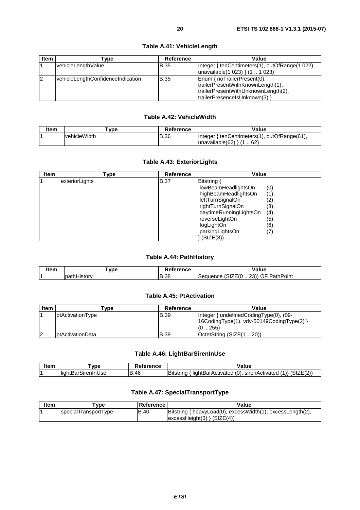#### **Table A.41: VehicleLength**

### **Table A.42: VehicleWidth**

<span id="page-19-0"></span>

| Item | vpe                  | Reference | Value                                                  |
|------|----------------------|-----------|--------------------------------------------------------|
|      | <u>lvehicleWidth</u> | IB.36     | { tenCentimeters(1), outOfRange(61),<br><b>Integer</b> |
|      |                      |           | unavailable(62)<br>62                                  |

#### **Table A.43: ExteriorLights**

| <b>Item</b> | Type           | <b>Reference</b> | Value                                                                                                                                                                                       |                                                             |
|-------------|----------------|------------------|---------------------------------------------------------------------------------------------------------------------------------------------------------------------------------------------|-------------------------------------------------------------|
|             | exteriorLights | <b>B.37</b>      | Bitstring<br>lowBeamHeadlightsOn<br>highBeamHeadlightsOn<br>leftTurnSignalOn<br>rightTurnSignalOn<br>daytimeRunningLightsOn<br>reverseLightOn<br>fogLightOn<br>parkingLightsOn<br>(SIZE(8)) | (0),<br>(1),<br>(2),<br>(3),<br>(4),<br>(5),<br>(6),<br>(7) |

#### **Table A.44: PathHistory**

| --- | <b>VDE</b>                  | rance<br>יינ | 'alue<br>.                                                                                                                               |
|-----|-----------------------------|--------------|------------------------------------------------------------------------------------------------------------------------------------------|
|     | liet∩ri<br>ıvau<br>11.2 L U | IB.38        | $\cdots$<br>nn'<br>--<br>-<br>$\overline{\phantom{a}}$<br>oint?<br>.<br>∴∹er ∶<br>. .<br>ʻatn.<br>muence.<br>-11<br>. זר<br>ັ<br>ີ<br>-- |

#### **Table A.45: PtActivation**

| <b>Item</b> | [vpe                      | Reference | Value                                                                                             |
|-------------|---------------------------|-----------|---------------------------------------------------------------------------------------------------|
|             | ptActivationType          | IB.39     | Integer { undefined Coding Type (0), r09-<br>[16CodingType(1), vdv-50149CodingType(2) }<br>(0255) |
| 2           | <b>I</b> ptActivationData | IB.39     | OctetString (SIZE(120))                                                                           |

#### **Table A.46: LightBarSirenInUse**

| ltam<br>ונפוו | <b>VDE</b>                                           | <br>nue  | 'alue                                                                                                     |
|---------------|------------------------------------------------------|----------|-----------------------------------------------------------------------------------------------------------|
|               | $\cdot$ .<br>.<br>⊟liah*′<br>sirer.<br>$\sim$<br>JSE | .46<br>D | Bit<br>sirenActivated<br>lightBarActivated<br><b>Construction Construction</b><br>. .<br>- ( ( ) .<br>יחד |

#### **Table A.47: SpecialTransportType**

| Item | vpe ⊺                | Reference l | Value                                                      |
|------|----------------------|-------------|------------------------------------------------------------|
|      | specialTransportType | IB.40       | Bitstring { heavyLoad(0), excessWidth(1), excessLength(2), |
|      |                      |             | $excessHeight(3)$ { $SIZE(4)$ }                            |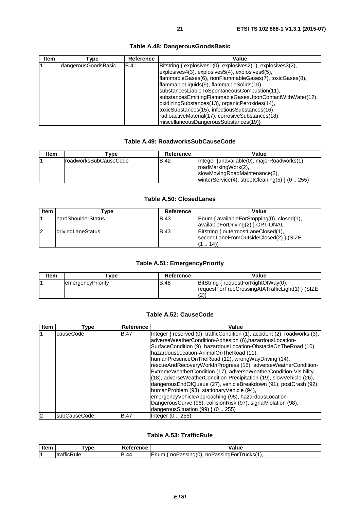<span id="page-20-0"></span>

| <b>Item</b> | [ype                | Reference   | Value                                                                                                                                                                                                                                                                                                                                                                                                                                                                                                                                                 |
|-------------|---------------------|-------------|-------------------------------------------------------------------------------------------------------------------------------------------------------------------------------------------------------------------------------------------------------------------------------------------------------------------------------------------------------------------------------------------------------------------------------------------------------------------------------------------------------------------------------------------------------|
|             | dangerousGoodsBasic | <b>B.41</b> | Bitstring { explosives1(0), explosives2(1), explosives3(2),<br>$\exp$ losives4 $(3)$ , explosives $5(4)$ , explosives $6(5)$ ,<br>flammableGases(6), nonFlammableGases(7), toxicGases(8),<br>flammableLiquids(9), flammableSolids(10),<br>substancesLiableToSpontaneousCombustion(11),<br>substancesEmittingFlammableGasesUponContactWithWater(12),<br>oxidizingSubstances(13), organicPeroxides(14),<br>toxicSubstances(15), infectiousSubstances(16),<br>radioactiveMaterial(17), corrosiveSubstances(18),<br>miscellaneousDangerousSubstances(19)} |

### **Table A.48: DangerousGoodsBasic**

#### **Table A.49: RoadworksSubCauseCode**

| Item | $rV$ pe                | Reference | Value                                                                                                                                               |
|------|------------------------|-----------|-----------------------------------------------------------------------------------------------------------------------------------------------------|
|      | IroadworksSubCauseCode | IB.42     | Integer {unavailable(0), majorRoadworks(1),<br>roadMarkingWork(2),<br>slowMovingRoadMaintenance(3),<br>winterService(4), streetCleaning(5) $(0255)$ |

#### **Table A.50: ClosedLanes**

| <b>Item</b> | ⊺vpe                       | Reference   | Value                                      |
|-------------|----------------------------|-------------|--------------------------------------------|
|             | <b>IhardShoulderStatus</b> | IB.43       | Enum { availableForStopping(0), closed(1), |
|             |                            |             | availableForDriving(2) } OPTIONAL          |
| 12          | drivingLaneStatus          | <b>B.43</b> | Bitstring { outermostLaneClosed(1),        |
|             |                            |             | secondLaneFromOutsideClosed(2) } (SIZE)    |
|             |                            |             | (14)<br>.                                  |

### **Table A.51: EmergencyPriority**

| <b>Item</b> | ™vpe               | Reference | Value                                                                                            |
|-------------|--------------------|-----------|--------------------------------------------------------------------------------------------------|
|             | lemergencyPriority | IB.48     | BitString { requestForRightOfWay(0),<br> requestForFreeCrossingAtATrafficLight(1) } (SIZE<br>(2) |

### **Table A.52: CauseCode**

| <b>Item</b> | Type         | Reference   | Value                                                                                                                                                                                                                                                                                                                                                                                                                                                                                                                                                                                                                                                                                                                                                                                                        |
|-------------|--------------|-------------|--------------------------------------------------------------------------------------------------------------------------------------------------------------------------------------------------------------------------------------------------------------------------------------------------------------------------------------------------------------------------------------------------------------------------------------------------------------------------------------------------------------------------------------------------------------------------------------------------------------------------------------------------------------------------------------------------------------------------------------------------------------------------------------------------------------|
| 1           | causeCode    | <b>B.47</b> | Integer { reserved (0), trafficCondition (1), accident (2), roadworks (3),<br>adverseWeatherCondition-Adhesion (6), hazardousLocation-<br>SurfaceCondition (9), hazardousLocation-ObstacleOnTheRoad (10),<br>hazardousLocation-AnimalOnTheRoad (11),<br>humanPresenceOnTheRoad (12), wrongWayDriving (14),<br>rescueAndRecoveryWorkInProgress (15), adverseWeatherCondition-<br>ExtremeWeatherCondition (17), adverseWeatherCondition-Visibility<br>(18), adverseWeatherCondition-Precipitation (19), slowVehicle (26),<br>dangerousEndOfQueue (27), vehicleBreakdown (91), postCrash (92),<br>humanProblem (93), stationaryVehicle (94),<br>emergencyVehicleApproaching (95), hazardousLocation-<br>DangerousCurve (96), collisionRisk (97), signalViolation (98),<br>dangerous Situation $(99)$ } $(0255)$ |
| 2           | subCauseCode | <b>B.47</b> | Integer (0 ., 255)                                                                                                                                                                                                                                                                                                                                                                                                                                                                                                                                                                                                                                                                                                                                                                                           |

### **Table A.53: TrafficRule**

| Item | vpe              | Reference | Value                                                            |
|------|------------------|-----------|------------------------------------------------------------------|
| I 4  | <br>ItrafficRule | R<br>B.44 | $'$ noPassing(0),<br>, noPassingFor I rucks(1),<br><b>I</b> Enum |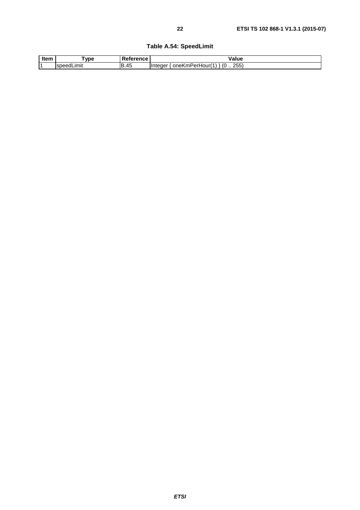### **Table A.54: SpeedLimit**

<span id="page-21-0"></span>

| Item | vpe                 | $-$ - $ -$          | alue                                                     |  |
|------|---------------------|---------------------|----------------------------------------------------------|--|
|      | .ımıt<br><b>spe</b> | R<br>$\Lambda$<br>᠇ | つよよ<br>. (೧<br>∖mPerHour(<br>ienei<br>oneK<br>້<br>.<br> |  |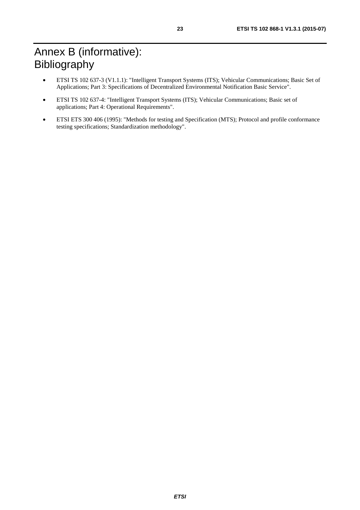- <span id="page-22-0"></span>• ETSI TS 102 637-3 (V1.1.1): "Intelligent Transport Systems (ITS); Vehicular Communications; Basic Set of Applications; Part 3: Specifications of Decentralized Environmental Notification Basic Service".
- ETSI TS 102 637-4: "Intelligent Transport Systems (ITS); Vehicular Communications; Basic set of applications; Part 4: Operational Requirements".
- ETSI ETS 300 406 (1995): "Methods for testing and Specification (MTS); Protocol and profile conformance testing specifications; Standardization methodology".